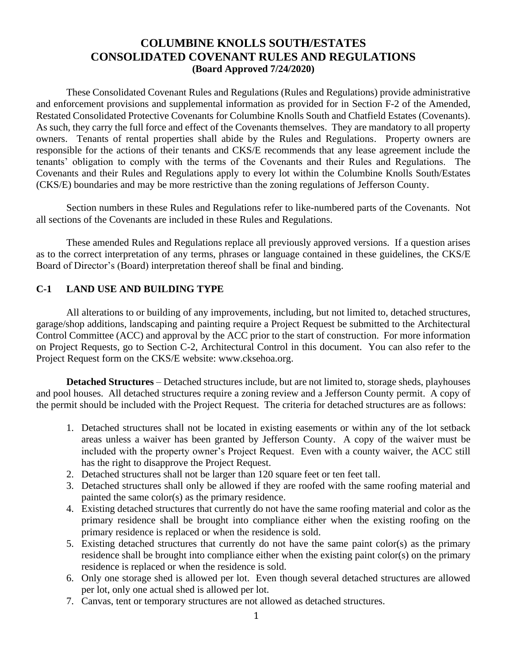# **COLUMBINE KNOLLS SOUTH/ESTATES CONSOLIDATED COVENANT RULES AND REGULATIONS (Board Approved 7/24/2020)**

These Consolidated Covenant Rules and Regulations (Rules and Regulations) provide administrative and enforcement provisions and supplemental information as provided for in Section F-2 of the Amended, Restated Consolidated Protective Covenants for Columbine Knolls South and Chatfield Estates (Covenants). As such, they carry the full force and effect of the Covenants themselves. They are mandatory to all property owners. Tenants of rental properties shall abide by the Rules and Regulations. Property owners are responsible for the actions of their tenants and CKS/E recommends that any lease agreement include the tenants' obligation to comply with the terms of the Covenants and their Rules and Regulations. The Covenants and their Rules and Regulations apply to every lot within the Columbine Knolls South/Estates (CKS/E) boundaries and may be more restrictive than the zoning regulations of Jefferson County.

Section numbers in these Rules and Regulations refer to like-numbered parts of the Covenants. Not all sections of the Covenants are included in these Rules and Regulations.

These amended Rules and Regulations replace all previously approved versions. If a question arises as to the correct interpretation of any terms, phrases or language contained in these guidelines, the CKS/E Board of Director's (Board) interpretation thereof shall be final and binding.

# **C-1 LAND USE AND BUILDING TYPE**

All alterations to or building of any improvements, including, but not limited to, detached structures, garage/shop additions, landscaping and painting require a Project Request be submitted to the Architectural Control Committee (ACC) and approval by the ACC prior to the start of construction. For more information on Project Requests, go to Section C-2, Architectural Control in this document. You can also refer to the Project Request form on the CKS/E website: www.cksehoa.org.

**Detached Structures** – Detached structures include, but are not limited to, storage sheds, playhouses and pool houses. All detached structures require a zoning review and a Jefferson County permit. A copy of the permit should be included with the Project Request. The criteria for detached structures are as follows:

- 1. Detached structures shall not be located in existing easements or within any of the lot setback areas unless a waiver has been granted by Jefferson County. A copy of the waiver must be included with the property owner's Project Request. Even with a county waiver, the ACC still has the right to disapprove the Project Request.
- 2. Detached structures shall not be larger than 120 square feet or ten feet tall.
- 3. Detached structures shall only be allowed if they are roofed with the same roofing material and painted the same color(s) as the primary residence.
- 4. Existing detached structures that currently do not have the same roofing material and color as the primary residence shall be brought into compliance either when the existing roofing on the primary residence is replaced or when the residence is sold.
- 5. Existing detached structures that currently do not have the same paint color(s) as the primary residence shall be brought into compliance either when the existing paint color(s) on the primary residence is replaced or when the residence is sold.
- 6. Only one storage shed is allowed per lot. Even though several detached structures are allowed per lot, only one actual shed is allowed per lot.
- 7. Canvas, tent or temporary structures are not allowed as detached structures.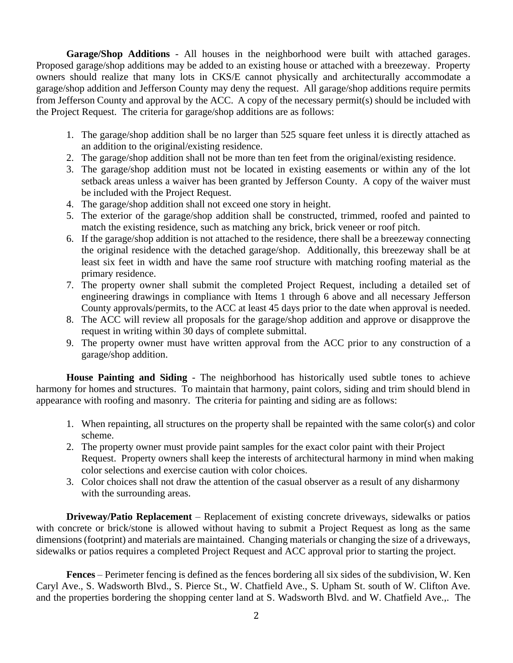**Garage/Shop Additions** - All houses in the neighborhood were built with attached garages. Proposed garage/shop additions may be added to an existing house or attached with a breezeway. Property owners should realize that many lots in CKS/E cannot physically and architecturally accommodate a garage/shop addition and Jefferson County may deny the request. All garage/shop additions require permits from Jefferson County and approval by the ACC. A copy of the necessary permit(s) should be included with the Project Request. The criteria for garage/shop additions are as follows:

- 1. The garage/shop addition shall be no larger than 525 square feet unless it is directly attached as an addition to the original/existing residence.
- 2. The garage/shop addition shall not be more than ten feet from the original/existing residence.
- 3. The garage/shop addition must not be located in existing easements or within any of the lot setback areas unless a waiver has been granted by Jefferson County. A copy of the waiver must be included with the Project Request.
- 4. The garage/shop addition shall not exceed one story in height.
- 5. The exterior of the garage/shop addition shall be constructed, trimmed, roofed and painted to match the existing residence, such as matching any brick, brick veneer or roof pitch.
- 6. If the garage/shop addition is not attached to the residence, there shall be a breezeway connecting the original residence with the detached garage/shop. Additionally, this breezeway shall be at least six feet in width and have the same roof structure with matching roofing material as the primary residence.
- 7. The property owner shall submit the completed Project Request, including a detailed set of engineering drawings in compliance with Items 1 through 6 above and all necessary Jefferson County approvals/permits, to the ACC at least 45 days prior to the date when approval is needed.
- 8. The ACC will review all proposals for the garage/shop addition and approve or disapprove the request in writing within 30 days of complete submittal.
- 9. The property owner must have written approval from the ACC prior to any construction of a garage/shop addition.

**House Painting and Siding** - The neighborhood has historically used subtle tones to achieve harmony for homes and structures. To maintain that harmony, paint colors, siding and trim should blend in appearance with roofing and masonry. The criteria for painting and siding are as follows:

- 1. When repainting, all structures on the property shall be repainted with the same color(s) and color scheme.
- 2. The property owner must provide paint samples for the exact color paint with their Project Request. Property owners shall keep the interests of architectural harmony in mind when making color selections and exercise caution with color choices.
- 3. Color choices shall not draw the attention of the casual observer as a result of any disharmony with the surrounding areas.

**Driveway/Patio Replacement** – Replacement of existing concrete driveways, sidewalks or patios with concrete or brick/stone is allowed without having to submit a Project Request as long as the same dimensions (footprint) and materials are maintained. Changing materials or changing the size of a driveways, sidewalks or patios requires a completed Project Request and ACC approval prior to starting the project.

**Fences** – Perimeter fencing is defined as the fences bordering all six sides of the subdivision, W. Ken Caryl Ave., S. Wadsworth Blvd., S. Pierce St., W. Chatfield Ave., S. Upham St. south of W. Clifton Ave. and the properties bordering the shopping center land at S. Wadsworth Blvd. and W. Chatfield Ave.,. The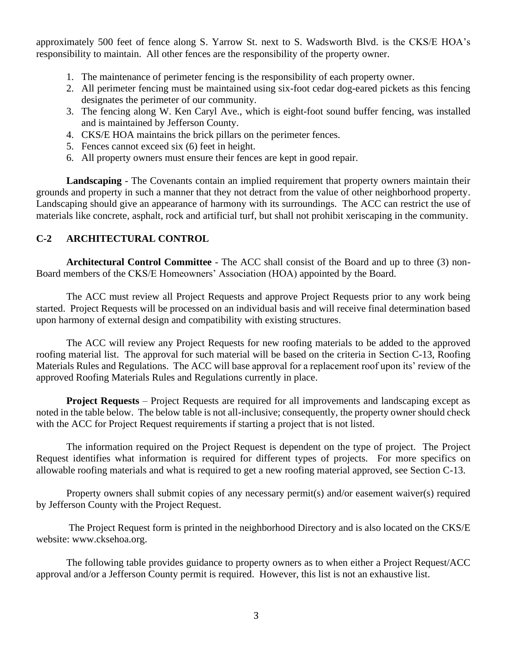approximately 500 feet of fence along S. Yarrow St. next to S. Wadsworth Blvd. is the CKS/E HOA's responsibility to maintain. All other fences are the responsibility of the property owner.

- 1. The maintenance of perimeter fencing is the responsibility of each property owner.
- 2. All perimeter fencing must be maintained using six-foot cedar dog-eared pickets as this fencing designates the perimeter of our community.
- 3. The fencing along W. Ken Caryl Ave., which is eight-foot sound buffer fencing, was installed and is maintained by Jefferson County.
- 4. CKS/E HOA maintains the brick pillars on the perimeter fences.
- 5. Fences cannot exceed six (6) feet in height.
- 6. All property owners must ensure their fences are kept in good repair.

**Landscaping** - The Covenants contain an implied requirement that property owners maintain their grounds and property in such a manner that they not detract from the value of other neighborhood property. Landscaping should give an appearance of harmony with its surroundings. The ACC can restrict the use of materials like concrete, asphalt, rock and artificial turf, but shall not prohibit xeriscaping in the community.

# **C-2 ARCHITECTURAL CONTROL**

**Architectural Control Committee** - The ACC shall consist of the Board and up to three (3) non-Board members of the CKS/E Homeowners' Association (HOA) appointed by the Board.

The ACC must review all Project Requests and approve Project Requests prior to any work being started. Project Requests will be processed on an individual basis and will receive final determination based upon harmony of external design and compatibility with existing structures.

The ACC will review any Project Requests for new roofing materials to be added to the approved roofing material list. The approval for such material will be based on the criteria in Section C-13, Roofing Materials Rules and Regulations. The ACC will base approval for a replacement roof upon its' review of the approved Roofing Materials Rules and Regulations currently in place.

**Project Requests** – Project Requests are required for all improvements and landscaping except as noted in the table below. The below table is not all-inclusive; consequently, the property owner should check with the ACC for Project Request requirements if starting a project that is not listed.

The information required on the Project Request is dependent on the type of project. The Project Request identifies what information is required for different types of projects. For more specifics on allowable roofing materials and what is required to get a new roofing material approved, see Section C-13.

Property owners shall submit copies of any necessary permit(s) and/or easement waiver(s) required by Jefferson County with the Project Request.

The Project Request form is printed in the neighborhood Directory and is also located on the CKS/E website: www.cksehoa.org.

The following table provides guidance to property owners as to when either a Project Request/ACC approval and/or a Jefferson County permit is required. However, this list is not an exhaustive list.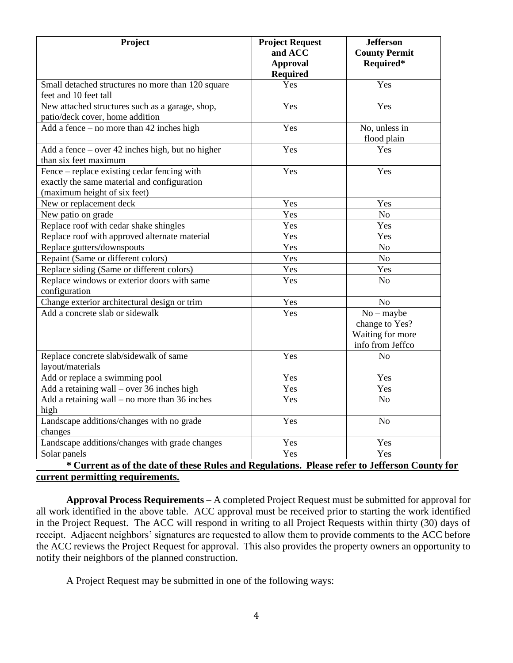| Project                                                                                                                    | <b>Project Request</b><br>and ACC<br><b>Approval</b><br><b>Required</b> | <b>Jefferson</b><br><b>County Permit</b><br>Required*                  |
|----------------------------------------------------------------------------------------------------------------------------|-------------------------------------------------------------------------|------------------------------------------------------------------------|
| Small detached structures no more than 120 square<br>feet and 10 feet tall                                                 | Yes                                                                     | Yes                                                                    |
| New attached structures such as a garage, shop,<br>patio/deck cover, home addition                                         | Yes                                                                     | Yes                                                                    |
| Add a fence $-$ no more than 42 inches high                                                                                | Yes                                                                     | No, unless in<br>flood plain                                           |
| Add a fence $-$ over 42 inches high, but no higher<br>than six feet maximum                                                | Yes                                                                     | Yes                                                                    |
| Fence – replace existing cedar fencing with<br>exactly the same material and configuration<br>(maximum height of six feet) | Yes                                                                     | Yes                                                                    |
| New or replacement deck                                                                                                    | Yes                                                                     | Yes                                                                    |
| New patio on grade                                                                                                         | Yes                                                                     | N <sub>o</sub>                                                         |
| Replace roof with cedar shake shingles                                                                                     | Yes                                                                     | Yes                                                                    |
| Replace roof with approved alternate material                                                                              | Yes                                                                     | Yes                                                                    |
| Replace gutters/downspouts                                                                                                 | Yes                                                                     | No                                                                     |
| Repaint (Same or different colors)                                                                                         | Yes                                                                     | No                                                                     |
| Replace siding (Same or different colors)                                                                                  | Yes                                                                     | Yes                                                                    |
| Replace windows or exterior doors with same<br>configuration                                                               | Yes                                                                     | N <sub>o</sub>                                                         |
| Change exterior architectural design or trim                                                                               | Yes                                                                     | N <sub>o</sub>                                                         |
| Add a concrete slab or sidewalk                                                                                            | Yes                                                                     | $No$ – maybe<br>change to Yes?<br>Waiting for more<br>info from Jeffco |
| Replace concrete slab/sidewalk of same<br>layout/materials                                                                 | Yes                                                                     | N <sub>o</sub>                                                         |
| Add or replace a swimming pool                                                                                             | Yes                                                                     | Yes                                                                    |
| Add a retaining wall - over 36 inches high                                                                                 | Yes                                                                     | Yes                                                                    |
| Add a retaining wall $-$ no more than 36 inches<br>high                                                                    | Yes                                                                     | N <sub>o</sub>                                                         |
| Landscape additions/changes with no grade<br>changes                                                                       | Yes                                                                     | N <sub>o</sub>                                                         |
| Landscape additions/changes with grade changes                                                                             | Yes                                                                     | Yes                                                                    |
| Solar panels<br>$\mathcal{L}$<br>$\mathbf{P}$<br>$\mathbf{a}$                                                              | Yes<br>$1 - 42$ .<br>m                                                  | Yes<br><b>T.CC.</b>                                                    |

## **\* Current as of the date of these Rules and Regulations. Please refer to Jefferson County for current permitting requirements.**

**Approval Process Requirements** – A completed Project Request must be submitted for approval for all work identified in the above table. ACC approval must be received prior to starting the work identified in the Project Request. The ACC will respond in writing to all Project Requests within thirty (30) days of receipt. Adjacent neighbors' signatures are requested to allow them to provide comments to the ACC before the ACC reviews the Project Request for approval. This also provides the property owners an opportunity to notify their neighbors of the planned construction.

A Project Request may be submitted in one of the following ways: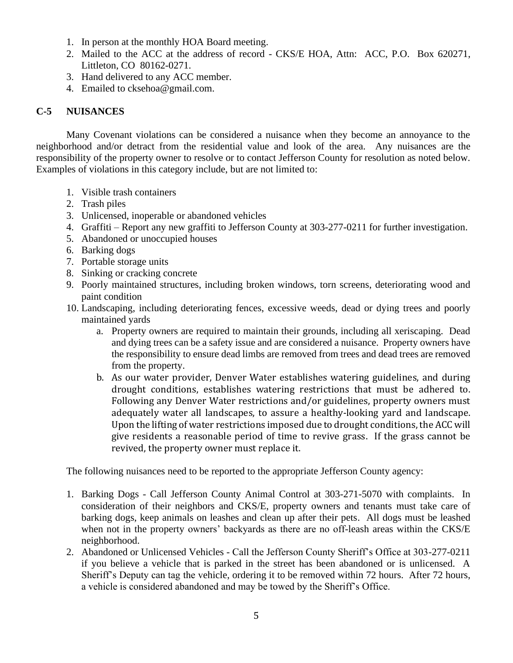- 1. In person at the monthly HOA Board meeting.
- 2. Mailed to the ACC at the address of record CKS/E HOA, Attn: ACC, P.O. Box 620271, Littleton, CO 80162-0271.
- 3. Hand delivered to any ACC member.
- 4. Emailed to [cksehoa@gmail.com.](mailto:cksehoa@gmail.com)

# **C-5 NUISANCES**

Many Covenant violations can be considered a nuisance when they become an annoyance to the neighborhood and/or detract from the residential value and look of the area. Any nuisances are the responsibility of the property owner to resolve or to contact Jefferson County for resolution as noted below. Examples of violations in this category include, but are not limited to:

- 1. Visible trash containers
- 2. Trash piles
- 3. Unlicensed, inoperable or abandoned vehicles
- 4. Graffiti Report any new graffiti to Jefferson County at 303-277-0211 for further investigation.
- 5. Abandoned or unoccupied houses
- 6. Barking dogs
- 7. Portable storage units
- 8. Sinking or cracking concrete
- 9. Poorly maintained structures, including broken windows, torn screens, deteriorating wood and paint condition
- 10. Landscaping, including deteriorating fences, excessive weeds, dead or dying trees and poorly maintained yards
	- a. Property owners are required to maintain their grounds, including all xeriscaping. Dead and dying trees can be a safety issue and are considered a nuisance. Property owners have the responsibility to ensure dead limbs are removed from trees and dead trees are removed from the property.
	- b. As our water provider, Denver Water establishes watering guidelines, and during drought conditions, establishes watering restrictions that must be adhered to. Following any Denver Water restrictions and/or guidelines, property owners must adequately water all landscapes, to assure a healthy-looking yard and landscape. Upon the lifting of water restrictions imposed due to drought conditions, the ACC will give residents a reasonable period of time to revive grass. If the grass cannot be revived, the property owner must replace it.

The following nuisances need to be reported to the appropriate Jefferson County agency:

- 1. Barking Dogs Call Jefferson County Animal Control at 303-271-5070 with complaints. In consideration of their neighbors and CKS/E, property owners and tenants must take care of barking dogs, keep animals on leashes and clean up after their pets. All dogs must be leashed when not in the property owners' backyards as there are no off-leash areas within the CKS/E neighborhood.
- 2. Abandoned or Unlicensed Vehicles Call the Jefferson County Sheriff's Office at 303-277-0211 if you believe a vehicle that is parked in the street has been abandoned or is unlicensed. A Sheriff's Deputy can tag the vehicle, ordering it to be removed within 72 hours. After 72 hours, a vehicle is considered abandoned and may be towed by the Sheriff's Office.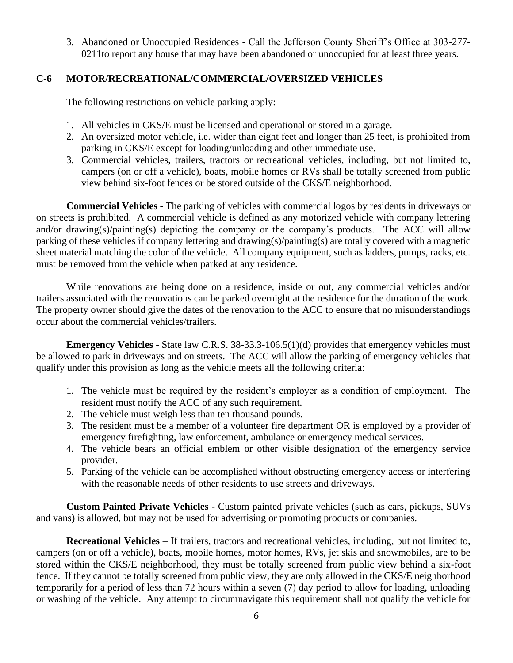3. Abandoned or Unoccupied Residences - Call the Jefferson County Sheriff's Office at 303-277- 0211to report any house that may have been abandoned or unoccupied for at least three years.

# **C-6 MOTOR/RECREATIONAL/COMMERCIAL/OVERSIZED VEHICLES**

The following restrictions on vehicle parking apply:

- 1. All vehicles in CKS/E must be licensed and operational or stored in a garage.
- 2. An oversized motor vehicle, i.e. wider than eight feet and longer than 25 feet, is prohibited from parking in CKS/E except for loading/unloading and other immediate use.
- 3. Commercial vehicles, trailers, tractors or recreational vehicles, including, but not limited to, campers (on or off a vehicle), boats, mobile homes or RVs shall be totally screened from public view behind six-foot fences or be stored outside of the CKS/E neighborhood.

**Commercial Vehicles** - The parking of vehicles with commercial logos by residents in driveways or on streets is prohibited. A commercial vehicle is defined as any motorized vehicle with company lettering and/or drawing(s)/painting(s) depicting the company or the company's products. The ACC will allow parking of these vehicles if company lettering and drawing(s)/painting(s) are totally covered with a magnetic sheet material matching the color of the vehicle. All company equipment, such as ladders, pumps, racks, etc. must be removed from the vehicle when parked at any residence.

While renovations are being done on a residence, inside or out, any commercial vehicles and/or trailers associated with the renovations can be parked overnight at the residence for the duration of the work. The property owner should give the dates of the renovation to the ACC to ensure that no misunderstandings occur about the commercial vehicles/trailers.

**Emergency Vehicles** - State law C.R.S. 38-33.3-106.5(1)(d) provides that emergency vehicles must be allowed to park in driveways and on streets. The ACC will allow the parking of emergency vehicles that qualify under this provision as long as the vehicle meets all the following criteria:

- 1. The vehicle must be required by the resident's employer as a condition of employment. The resident must notify the ACC of any such requirement.
- 2. The vehicle must weigh less than ten thousand pounds.
- 3. The resident must be a member of a volunteer fire department OR is employed by a provider of emergency firefighting, law enforcement, ambulance or emergency medical services.
- 4. The vehicle bears an official emblem or other visible designation of the emergency service provider.
- 5. Parking of the vehicle can be accomplished without obstructing emergency access or interfering with the reasonable needs of other residents to use streets and driveways.

**Custom Painted Private Vehicles** - Custom painted private vehicles (such as cars, pickups, SUVs and vans) is allowed, but may not be used for advertising or promoting products or companies.

**Recreational Vehicles** – If trailers, tractors and recreational vehicles, including, but not limited to, campers (on or off a vehicle), boats, mobile homes, motor homes, RVs, jet skis and snowmobiles, are to be stored within the CKS/E neighborhood, they must be totally screened from public view behind a six-foot fence. If they cannot be totally screened from public view, they are only allowed in the CKS/E neighborhood temporarily for a period of less than 72 hours within a seven (7) day period to allow for loading, unloading or washing of the vehicle. Any attempt to circumnavigate this requirement shall not qualify the vehicle for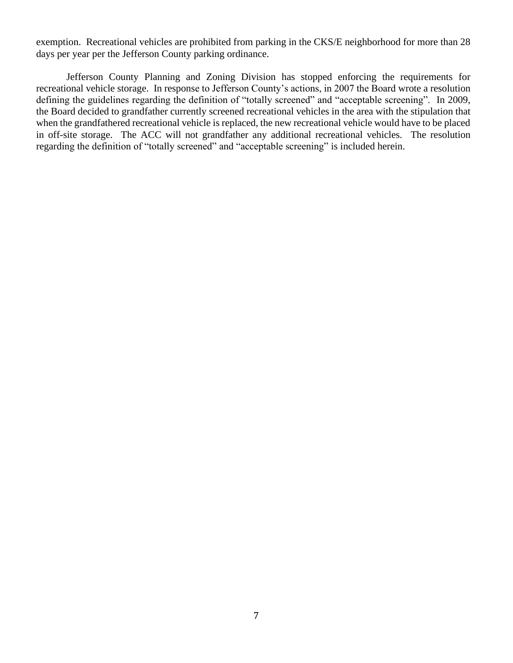exemption. Recreational vehicles are prohibited from parking in the CKS/E neighborhood for more than 28 days per year per the Jefferson County parking ordinance.

Jefferson County Planning and Zoning Division has stopped enforcing the requirements for recreational vehicle storage. In response to Jefferson County's actions, in 2007 the Board wrote a resolution defining the guidelines regarding the definition of "totally screened" and "acceptable screening". In 2009, the Board decided to grandfather currently screened recreational vehicles in the area with the stipulation that when the grandfathered recreational vehicle is replaced, the new recreational vehicle would have to be placed in off-site storage. The ACC will not grandfather any additional recreational vehicles. The resolution regarding the definition of "totally screened" and "acceptable screening" is included herein.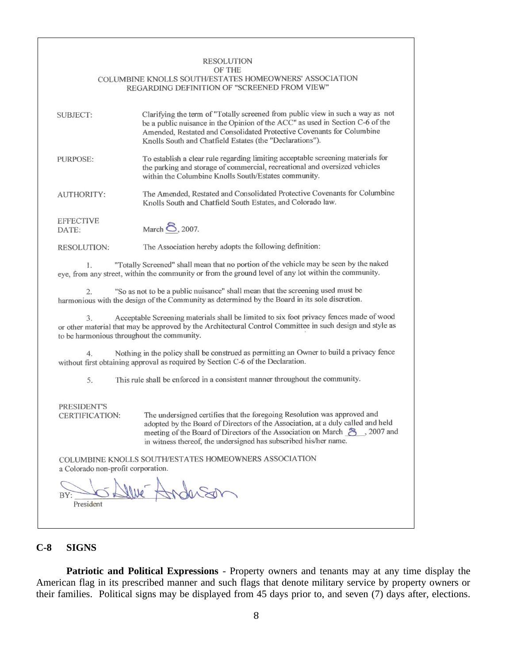### **RESOLUTION**

#### OF THE

#### COLUMBINE KNOLLS SOUTH/ESTATES HOMEOWNERS' ASSOCIATION REGARDING DEFINITION OF "SCREENED FROM VIEW"

| SUBJECT:                  | Clarifying the term of "Totally screened from public view in such a way as not<br>be a public nuisance in the Opinion of the ACC" as used in Section C-6 of the<br>Amended, Restated and Consolidated Protective Covenants for Columbine<br>Knolls South and Chatfield Estates (the "Declarations"). |
|---------------------------|------------------------------------------------------------------------------------------------------------------------------------------------------------------------------------------------------------------------------------------------------------------------------------------------------|
| PURPOSE:                  | To establish a clear rule regarding limiting acceptable screening materials for<br>the parking and storage of commercial, recreational and oversized vehicles<br>within the Columbine Knolls South/Estates community.                                                                                |
| <b>AUTHORITY:</b>         | The Amended, Restated and Consolidated Protective Covenants for Columbine<br>Knolls South and Chatfield South Estates, and Colorado law.                                                                                                                                                             |
| <b>EFFECTIVE</b><br>DATE: | March <b>8</b> , 2007.                                                                                                                                                                                                                                                                               |
| <b>RESOLUTION:</b>        | The Association hereby adopts the following definition:                                                                                                                                                                                                                                              |

"Totally Screened" shall mean that no portion of the vehicle may be seen by the naked 1. eye, from any street, within the community or from the ground level of any lot within the community.

"So as not to be a public nuisance" shall mean that the screening used must be  $\overline{2}$ . harmonious with the design of the Community as determined by the Board in its sole discretion.

Acceptable Screening materials shall be limited to six foot privacy fences made of wood  $3.$ or other material that may be approved by the Architectural Control Committee in such design and style as to be harmonious throughout the community.

Nothing in the policy shall be construed as permitting an Owner to build a privacy fence  $4.$ without first obtaining approval as required by Section C-6 of the Declaration.

This rule shall be enforced in a consistent manner throughout the community. 5.

#### PRESIDENT'S CERTIFICATION:

The undersigned certifies that the foregoing Resolution was approved and adopted by the Board of Directors of the Association, at a duly called and held meeting of the Board of Directors of the Association on March 8, 2007 and in witness thereof, the undersigned has subscribed his/her name.

COLUMBINE KNOLLS SOUTH/ESTATES HOMEOWNERS ASSOCIATION a Colorado non-profit corporation.

President

## **C-8 SIGNS**

**Patriotic and Political Expressions** - Property owners and tenants may at any time display the American flag in its prescribed manner and such flags that denote military service by property owners or their families. Political signs may be displayed from 45 days prior to, and seven (7) days after, elections.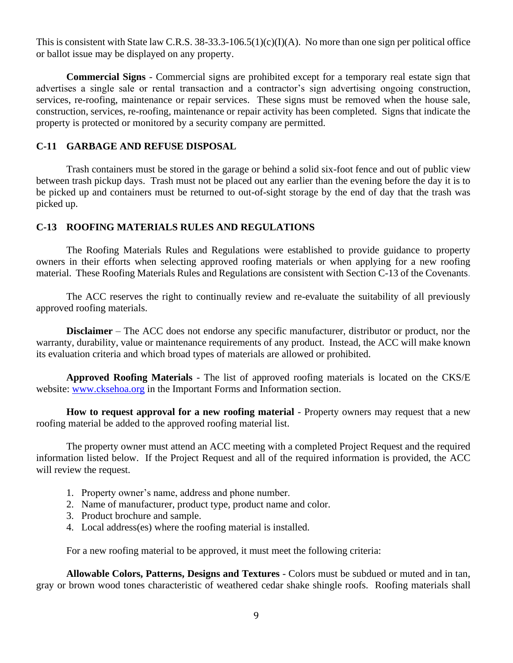This is consistent with State law C.R.S.  $38-33.3-106.5(1)(c)(I)(A)$ . No more than one sign per political office or ballot issue may be displayed on any property.

**Commercial Signs** - Commercial signs are prohibited except for a temporary real estate sign that advertises a single sale or rental transaction and a contractor's sign advertising ongoing construction, services, re-roofing, maintenance or repair services. These signs must be removed when the house sale, construction, services, re-roofing, maintenance or repair activity has been completed. Signs that indicate the property is protected or monitored by a security company are permitted.

### **C-11 GARBAGE AND REFUSE DISPOSAL**

Trash containers must be stored in the garage or behind a solid six-foot fence and out of public view between trash pickup days. Trash must not be placed out any earlier than the evening before the day it is to be picked up and containers must be returned to out-of-sight storage by the end of day that the trash was picked up.

### **C-13 ROOFING MATERIALS RULES AND REGULATIONS**

The Roofing Materials Rules and Regulations were established to provide guidance to property owners in their efforts when selecting approved roofing materials or when applying for a new roofing material. These Roofing Materials Rules and Regulations are consistent with Section C-13 of the Covenants.

The ACC reserves the right to continually review and re-evaluate the suitability of all previously approved roofing materials.

**Disclaimer** – The ACC does not endorse any specific manufacturer, distributor or product, nor the warranty, durability, value or maintenance requirements of any product. Instead, the ACC will make known its evaluation criteria and which broad types of materials are allowed or prohibited.

**Approved Roofing Materials** - The list of approved roofing materials is located on the CKS/E website: [www.cksehoa.org](http://www.cksehoa.org/) in the Important Forms and Information section.

**How to request approval for a new roofing material** - Property owners may request that a new roofing material be added to the approved roofing material list.

The property owner must attend an ACC meeting with a completed Project Request and the required information listed below. If the Project Request and all of the required information is provided, the ACC will review the request.

- 1. Property owner's name, address and phone number.
- 2. Name of manufacturer, product type, product name and color.
- 3. Product brochure and sample.
- 4. Local address(es) where the roofing material is installed.

For a new roofing material to be approved, it must meet the following criteria:

**Allowable Colors, Patterns, Designs and Textures** - Colors must be subdued or muted and in tan, gray or brown wood tones characteristic of weathered cedar shake shingle roofs. Roofing materials shall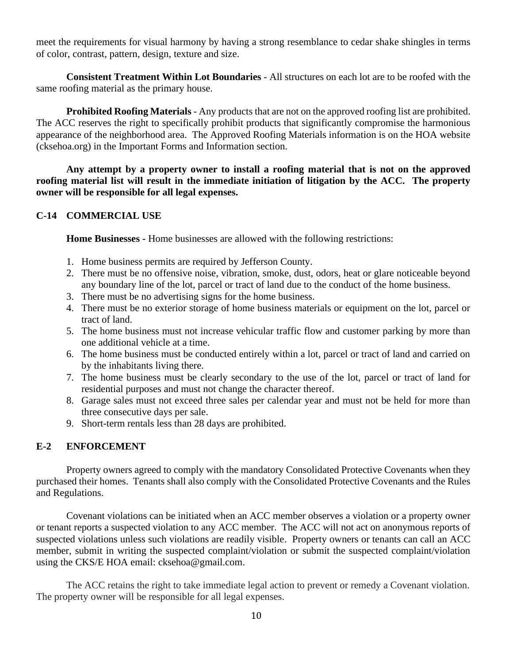meet the requirements for visual harmony by having a strong resemblance to cedar shake shingles in terms of color, contrast, pattern, design, texture and size.

**Consistent Treatment Within Lot Boundaries** - All structures on each lot are to be roofed with the same roofing material as the primary house.

**Prohibited Roofing Materials** - Any products that are not on the approved roofing list are prohibited. The ACC reserves the right to specifically prohibit products that significantly compromise the harmonious appearance of the neighborhood area. The Approved Roofing Materials information is on the HOA website (cksehoa.org) in the Important Forms and Information section.

**Any attempt by a property owner to install a roofing material that is not on the approved roofing material list will result in the immediate initiation of litigation by the ACC. The property owner will be responsible for all legal expenses.**

# **C-14 COMMERCIAL USE**

**Home Businesses -** Home businesses are allowed with the following restrictions:

- 1. Home business permits are required by Jefferson County.
- 2. There must be no offensive noise, vibration, smoke, dust, odors, heat or glare noticeable beyond any boundary line of the lot, parcel or tract of land due to the conduct of the home business.
- 3. There must be no advertising signs for the home business.
- 4. There must be no exterior storage of home business materials or equipment on the lot, parcel or tract of land.
- 5. The home business must not increase vehicular traffic flow and customer parking by more than one additional vehicle at a time.
- 6. The home business must be conducted entirely within a lot, parcel or tract of land and carried on by the inhabitants living there.
- 7. The home business must be clearly secondary to the use of the lot, parcel or tract of land for residential purposes and must not change the character thereof.
- 8. Garage sales must not exceed three sales per calendar year and must not be held for more than three consecutive days per sale.
- 9. Short-term rentals less than 28 days are prohibited.

# **E-2 ENFORCEMENT**

Property owners agreed to comply with the mandatory Consolidated Protective Covenants when they purchased their homes. Tenants shall also comply with the Consolidated Protective Covenants and the Rules and Regulations.

Covenant violations can be initiated when an ACC member observes a violation or a property owner or tenant reports a suspected violation to any ACC member. The ACC will not act on anonymous reports of suspected violations unless such violations are readily visible. Property owners or tenants can call an ACC member, submit in writing the suspected complaint/violation or submit the suspected complaint/violation using the CKS/E HOA email: [cksehoa@gmail.com.](mailto:cksehoa@gmail.com)

The ACC retains the right to take immediate legal action to prevent or remedy a Covenant violation. The property owner will be responsible for all legal expenses.